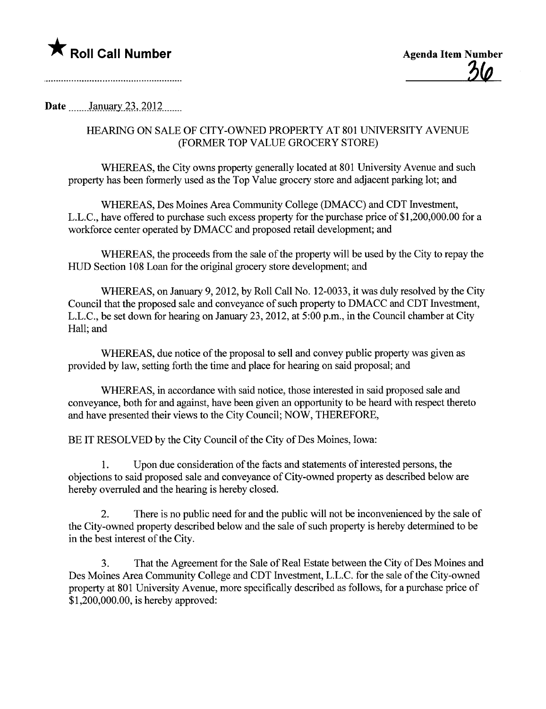

Date \_\_\_\_\_\_January 23, 2012

# HEARING ON SALE OF CITY-OWNED PROPERTY AT 801 UNIVERSITY AVENUE (FORMER TOP VALUE GROCERY STORE)

WHEREAS, the City owns property generally located at 801 University Avenue and such property has been formerly used as the Top Value grocery store and adjacent parking lot; and

WHEREAS, Des Moines Area Communty College (DMACC) and CDT Investment, L.L.C., have offered to purchase such excess property for the purchase price of \$1,200,000.00 for a workforce center operated by DMACC and proposed retail development; and

WHEREAS, the proceeds from the sale of the property will be used by the City to repay the HUD Section 108 Loan for the original grocery store development; and

WHEREAS, on January 9, 2012, by Roll Call No. 12-0033, it was duly resolved by the City Council that the proposed sale and conveyance of such property to DMACC and CDT Investment, L.L.C., be set down for hearing on January 23, 2012, at 5:00 p.m., in the Council chamber at City Hall; and

WHEREAS, due notice of the proposal to sell and convey public property was given as provided by law, setting forth the time and place for hearng on said proposal; and

WHEREAS, in accordance with said notice, those interested in said proposed sale and conveyance, both for and against, have been given an opportunity to be heard with respect thereto and have presented their views to the City Council; NOW, THEREFORE,

BE IT RESOLVED by the City Council of the City of Des Moines, Iowa:

1. Upon due consideration of the facts and statements of interested persons, the objections to said proposed sale and conveyance of City-owned property as described below are hereby overruled and the hearing is hereby closed.

2. There is no public need for and the public will not be inconvenienced by the sale of the City-owned property described below and the sale of such property is hereby determined to be in the best interest of the City.

3. That the Agreement for the Sale of Real Estate between the City of Des Moines and Des Moines Area Community College and CDT Investment, L.L.C. for the sale of the City-owned property at 801 University Avenue, more specifically described as follows, for a purchase price of \$1,200,000.00, is hereby approved: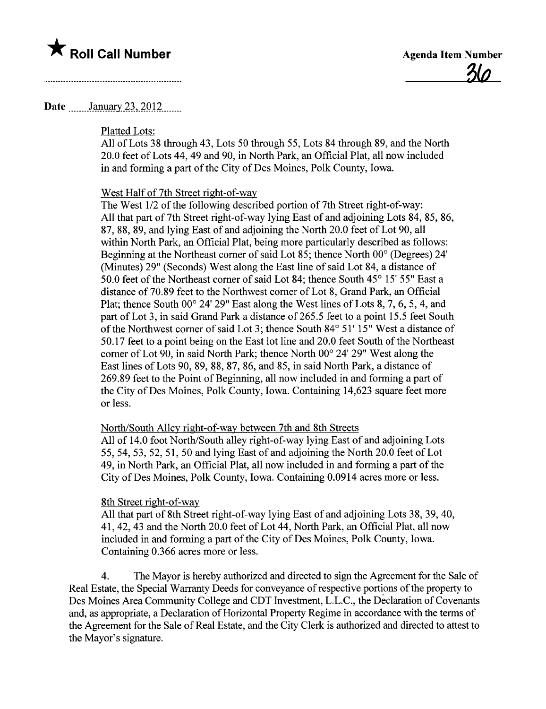

## Date \_\_\_\_\_\_ January 23, 2012

### Platted Lots:

All of Lots 38 through 43, Lots 50 through 55, Lots 84 through 89, and the North 20.0 feet of Lots 44, 49 and 90, in North Park, an Offcial Plat, all now included in and forming a part of the City of Des Moines, Polk County, Iowa.

#### West Half of 7th Street right-of-way

The West 1/2 of the following described portion of 7th Street right-of-way: All that part of 7th Street right-of-way lying East of and adjoining Lots 84, 85, 86, 87,88,89, and lying East of and adjoining the North 20.0 feet of Lot 90, all within North Park, an Official Plat, being more particularly described as follows: Beginning at the Northeast comer of said Lot 85; thence North 00° (Degrees) 24' (Minutes) 29" (Seconds) West along the East line of said Lot 84, a distance of 50.0 feet of the Northeast comer of said Lot 84; thence South 45° 15' 55" East a distance of 70.89 feet to the Northwest corner of Lot 8, Grand Park, an Official Plat; thence South 00° 24' 29" East along the West lines of Lots 8, 7, 6, 5, 4, and part of Lot 3, in said Grand Park a distance of 265.5 feet to a point 15.5 feet South of the Northwest corner of said Lot 3; thence South 84° 51' 15" West a distance of 50.17 feet to a point being on the East lot line and 20.0 feet South of the Northeast comer of Lot 90, in said North Park; thence North 00° 24' 29" West along the East lines of Lots 90,89,88,87,86, and 85, in said North Park, a distance of 269.89 feet to the Point of Beginning, all now included in and forming a part of the City of Des Moines, Polk County, Iowa. Containing 14,623 square feet more or less.

### North/South Alley right-of-way between 7th and 8th Streets

All of 14.0 foot North/South alley right-of-way lying East of and adjoining Lots 55,54,53,52,51,50 and lying East of and adjoining the North 20.0 feet of Lot 49, in North Park, an Official Plat, all now included in and forming a par of the City of Des Moines, Polk County, Iowa. Containing 0.0914 acres more or less.

#### 8th Street right-of-way

All that part of 8th Street right-of-way lying East of and adjoining Lots 38, 39, 40, 41,42,43 and the North 20.0 feet of Lot 44, North Park, an Official Plat, all now included in and forming a part of the City of Des Moines, Polk County, Iowa. Containing 0.366 acres more or less.

4. The Mayor is hereby authorized and directed to sign the Agreement for the Sale of Real Estate, the Special Warranty Deeds for conveyance of respective portions of the property to Des Moines Area Community College and CDT Investment, L.L.C., the Declaration of Covenants and, as appropriate, a Declaration of Horizontal Property Regime in accordance with the terms of the Agreement for the Sale of Real Estate, and the City Clerk is authorized and directed to attest to the Mayor's signatue.